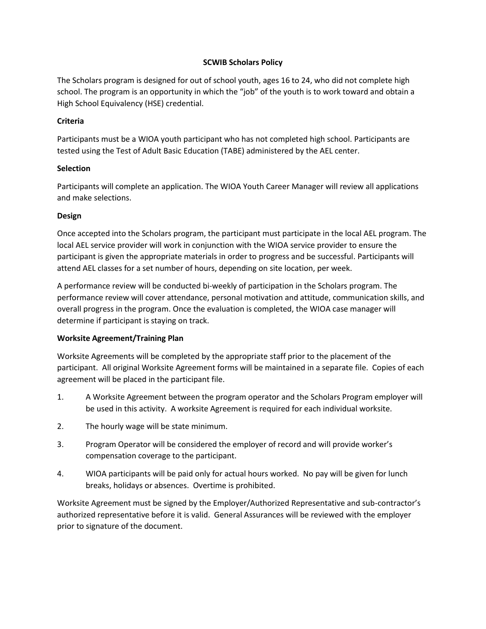# **SCWIB Scholars Policy**

The Scholars program is designed for out of school youth, ages 16 to 24, who did not complete high school. The program is an opportunity in which the "job" of the youth is to work toward and obtain a High School Equivalency (HSE) credential.

# **Criteria**

Participants must be a WIOA youth participant who has not completed high school. Participants are tested using the Test of Adult Basic Education (TABE) administered by the AEL center.

# **Selection**

Participants will complete an application. The WIOA Youth Career Manager will review all applications and make selections.

# **Design**

Once accepted into the Scholars program, the participant must participate in the local AEL program. The local AEL service provider will work in conjunction with the WIOA service provider to ensure the participant is given the appropriate materials in order to progress and be successful. Participants will attend AEL classes for a set number of hours, depending on site location, per week.

A performance review will be conducted bi-weekly of participation in the Scholars program. The performance review will cover attendance, personal motivation and attitude, communication skills, and overall progress in the program. Once the evaluation is completed, the WIOA case manager will determine if participant is staying on track.

# **Worksite Agreement/Training Plan**

Worksite Agreements will be completed by the appropriate staff prior to the placement of the participant. All original Worksite Agreement forms will be maintained in a separate file. Copies of each agreement will be placed in the participant file.

- 1. A Worksite Agreement between the program operator and the Scholars Program employer will be used in this activity. A worksite Agreement is required for each individual worksite.
- 2. The hourly wage will be state minimum.
- 3. Program Operator will be considered the employer of record and will provide worker's compensation coverage to the participant.
- 4. WIOA participants will be paid only for actual hours worked. No pay will be given for lunch breaks, holidays or absences. Overtime is prohibited.

Worksite Agreement must be signed by the Employer/Authorized Representative and sub-contractor's authorized representative before it is valid. General Assurances will be reviewed with the employer prior to signature of the document.